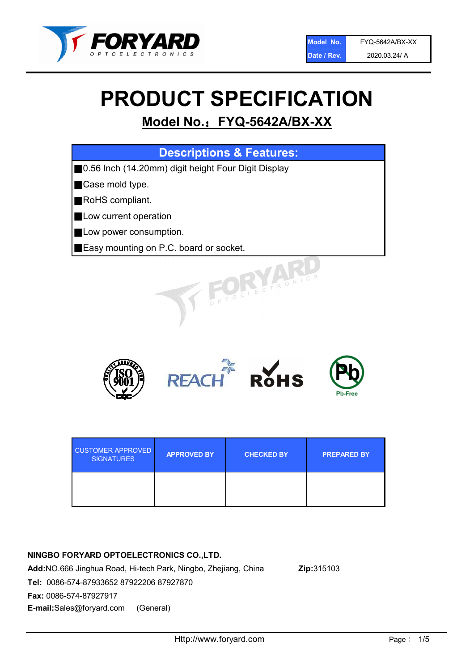

# PRODUCT SPECIFICATION

# Model No.: FYQ-5642A/BX-XX

| <b>Descriptions &amp; Features:</b>                 |
|-----------------------------------------------------|
| 0.56 Inch (14.20mm) digit height Four Digit Display |
| Case mold type.                                     |
| RoHS compliant.                                     |
| Low current operation                               |
| Low power consumption.                              |
| Easy mounting on P.C. board or socket.              |
| FOELECTRONIC.                                       |



| <b>CUSTOMER APPROVED</b><br><b>SIGNATURES</b> | <b>APPROVED BY</b> | <b>CHECKED BY</b> | <b>PREPARED BY</b> |
|-----------------------------------------------|--------------------|-------------------|--------------------|
|                                               |                    |                   |                    |

# NINGBO FORYARD OPTOELECTRONICS CO.,LTD.

Add:NO.666 Jinghua Road, Hi-tech Park, Ningbo, Zhejiang, China Zip:315103 Tel: 0086-574-87933652 87922206 87927870 Fax: 0086-574-87927917 E-mail:Sales@foryard.com (General)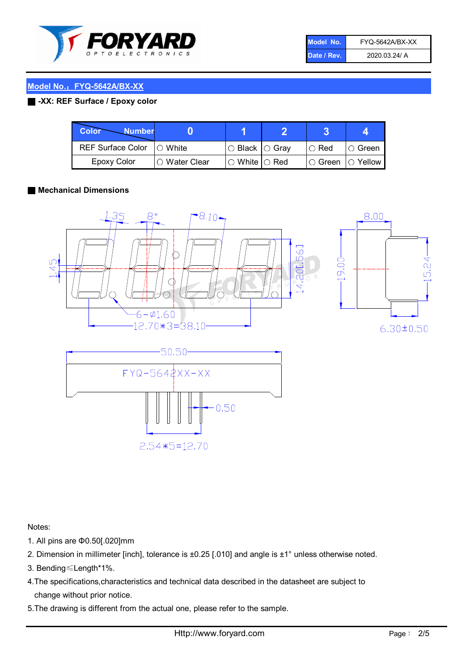

| Model No.   | FYQ-5642A/BX-XX |
|-------------|-----------------|
| Date / Rev. | 2020.03.24/ A   |

# Model No.: FYQ-5642A/BX-XX

# ■ -XX: REF Surface / Epoxy color

| Color<br><b>Number</b>     |               |                           |               |                |
|----------------------------|---------------|---------------------------|---------------|----------------|
| REF Surface Color  ○ White |               | ○ Black  ○ Gray           | $\circ$ Red   | ∣O Green       |
| <b>Epoxy Color</b>         | ○ Water Clear | $\circ$ White $\circ$ Red | $\circ$ Green | $\circ$ Yellow |

#### ■ Mechanical Dimensions



Notes:

- 1. All pins are Φ0.50[.020]mm
- 2. Dimension in millimeter [inch], tolerance is ±0.25 [.010] and angle is ±1° unless otherwise noted.
- 3. Bending≤Length\*1%.
- 4.The specifications,characteristics and technical data described in the datasheet are subject to change without prior notice.
- 5.The drawing is different from the actual one, please refer to the sample.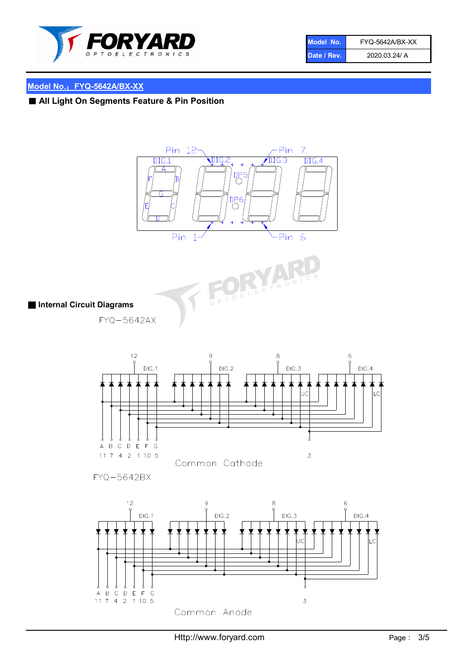

| Model No.   | FYQ-5642A/BX-XX |
|-------------|-----------------|
| Date / Rev. | 2020.03.24/ A   |

# Model No.: FYQ-5642A/BX-XX

# ■ All Light On Segments Feature & Pin Position





# ■ Internal Circuit Diagrams

FYQ-5642AX



FYQ-5642BX

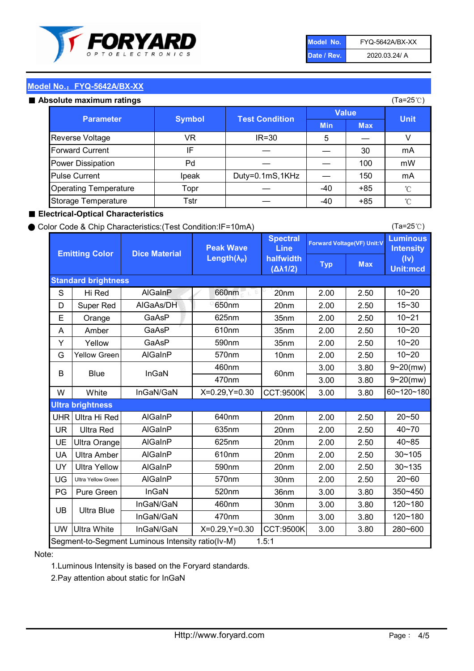

| Model No.   | FYQ-5642A/BX-XX |
|-------------|-----------------|
| Date / Rev. | 2020.03.24/ A   |

(Ta=25℃)

### Model No.: FYQ-5642A/BX-XX

#### Absolute maximum

| solute maximum ratings       |               |                       |              |            | (Ta=25℃)    |
|------------------------------|---------------|-----------------------|--------------|------------|-------------|
| <b>Parameter</b>             | <b>Symbol</b> | <b>Test Condition</b> | <b>Value</b> |            |             |
|                              |               |                       | <b>Min</b>   | <b>Max</b> | <b>Unit</b> |
| Reverse Voltage              | VR            | $IR = 30$             | 5            |            |             |
| <b>Forward Current</b>       | IF            |                       |              | 30         | mA          |
| Power Dissipation            | Pd            |                       |              | 100        | mW          |
| <b>Pulse Current</b>         | Ipeak         | Duty=0.1mS,1KHz       |              | 150        | mA          |
| <b>Operating Temperature</b> | Topr          |                       | $-40$        | $+85$      | °C          |
| Storage Temperature          | Tstr          |                       | -40          | $+85$      | °C          |

#### ■ Electrical-Optical Characteristics

#### ● Color Code & Chip Characteristics:(Test Condition:IF=10mA)

Typ Max S | Hi $\textsf{Red}$  | AlGaInP | 660nm LE 20nm | 2.00 | 2.50 D | Super Red | AIGaAs/DH | 650nm | 20nm | 2.00 | 2.50 E | Orange | GaAsP | 625nm | 35nm | 2.00 | 2.50 A | Amber | GaAsP | 610nm | 35nm | 2.00 | 2.50 Y | Yellow | GaAsP | 590nm | 35nm | 2.00 | 2.50 G Yellow Green AIGaInP | 570nm | 10nm | 2.00 | 2.50 3.00 3.80 3.00 3.80 W | White | InGaN/GaN | X=0.29,Y=0.30 |CCT:9500K| 3.00 | 3.80 UHR Ultra Hi Red | AlGaInP | 640nm | 20nm | 2.00 | 2.50 UR | Ultra Red | AlGaInP | 635nm | 20nm | 2.00 | 2.50 UE Ultra Orange | AIGaInP | 625nm | 20nm | 2.00 | 2.50 UA Ultra Amber | AIGaInP | 610nm | 20nm | 2.00 | 2.50  $UV$  Ultra Yellow  $\vert$  AlGaInP  $\vert$  590nm  $\vert$  20nm  $\vert$  2.00  $\vert$  2.50  $\text{UG}$  Ultra Yellow Green | AIGaInP | 570nm | 30nm | 2.00 | 2.50 PG Pure Green | InGaN | 520nm | 36nm | 3.00 | 3.80 30nm 3.00 3.80 30nm 3.00 3.80 UW |Ultra White | InGaN/GaN | X=0.29,Y=0.30 |CCT:9500K| 3.00 | 3.80 10~20 Standard brightness Forward Voltage(VF) Unit:V 15~30 10~20 10~20 625nm GaAsP 590nm **Emitting Color Dice Material** 10~21 610nm Luminous **Intensity** (Iv) Unit:mcd AlGainP 660nm GaAsP GaAsP AlGaAs/DH **Spectral** Line halfwidth (∆λ1/2) Peak Wave Length $(\lambda_{\rm P})$ UB 460nm 635nm AlGaInP AlGaInP AlGaInP InGaN/GaN AlGaInP | 570nm | 10nm | 2.00 | 2.50 | 10~20 30~105 30~135 460nm 520nm Ultra brightness **AlGaInP** AlGaInP 60nm AlGaInP 640nm Segment-to-Segment Luminous Intensity ratio(Iv-M) 1.5:1 610nm 9~20(mw) 350~450 470nm 120~180 120~180 Ultra Blue InGaN/GaN InGaN/GaN 9~20(mw) 20~50 280~600 570nm | 30nm | 2.00 | 2.50 | 20~60 470nm 590nm InGaN/GaN B Blue I InGaN 40~85 60~120~180 40~70

#### Note:

1.Luminous Intensity is based on the Foryard standards.

2.Pay attention about static for InGaN